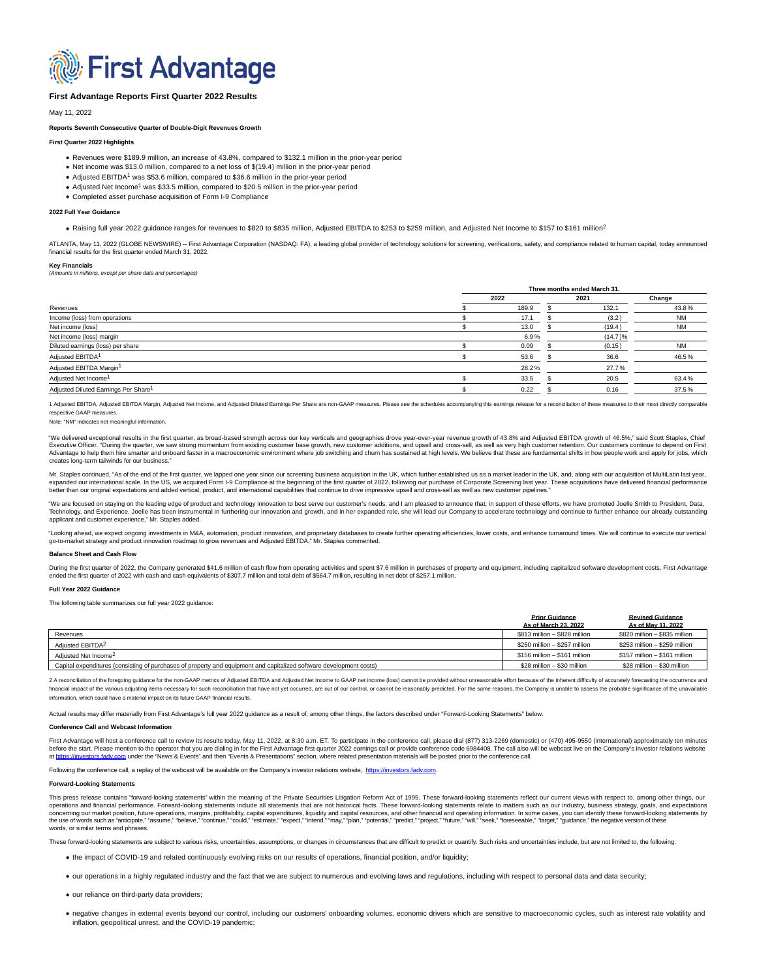# **First Advantage**

#### **First Advantage Reports First Quarter 2022 Results**

May 11, 2022

**Reports Seventh Consecutive Quarter of Double-Digit Revenues Growth**

#### **First Quarter 2022 Highlights**

- Revenues were \$189.9 million, an increase of 43.8%, compared to \$132.1 million in the prior-year period
- Net income was \$13.0 million, compared to a net loss of \$(19.4) million in the prior-year period
- Adjusted EBITDA<sup>1</sup> was \$53.6 million, compared to \$36.6 million in the prior-year period
- Adjusted Net Income<sup>1</sup> was \$33.5 million, compared to \$20.5 million in the prior-year period
- Completed asset purchase acquisition of Form I-9 Compliance

#### **2022 Full Year Guidance**

. Raising full year 2022 guidance ranges for revenues to \$820 to \$835 million, Adjusted EBITDA to \$253 to \$259 million, and Adjusted Net Income to \$157 to \$161 million<sup>2</sup>

ATLANTA, May 11, 2022 (GLOBE NEWSWIRE) -- First Advantage Corporation (NASDAQ: FA), a leading global provider of technology solutions for screening, verifications, safety, and compliance related to human capital, today ann

#### **Key Financials**

ints in millions, except per share data and percentages

|                                                  | Three months ended March 31, |  |         |           |
|--------------------------------------------------|------------------------------|--|---------|-----------|
|                                                  | 2022                         |  | 2021    | Change    |
| Revenues                                         | 189.9                        |  | 132.1   | 43.8%     |
| Income (loss) from operations                    | 17.1                         |  | (3.2)   | <b>NM</b> |
| Net income (loss)                                | 13.0                         |  | (19.4)  | <b>NM</b> |
| Net income (loss) margin                         | 6.9%                         |  | (14.7)% |           |
| Diluted earnings (loss) per share                | 0.09                         |  | (0.15)  | <b>NM</b> |
| Adjusted EBITDA <sup>1</sup>                     | 53.6                         |  | 36.6    | 46.5%     |
| Adjusted EBITDA Margin <sup>1</sup>              | 28.2%                        |  | 27.7%   |           |
| Adjusted Net Income <sup>1</sup>                 | 33.5                         |  | 20.5    | 63.4%     |
| Adjusted Diluted Earnings Per Share <sup>1</sup> | 0.22                         |  | 0.16    | 37.5%     |

1 Adjusted EBITDA, Adjusted EBITDA Margin, Adjusted Net Income, and Adjusted Diluted Earnings Per Share are non-GAAP measures. Please see the schedules accompanying this earnings release for a reconciliation of these measu respective GAAP measures.

#### Note: "NM" indicates not meaningful information.

"We delivered exceptional results in the first quarter, as broad-based strength across our key verticals and geographies drove year-over-year revenue growth of 43.8% and Adjusted EBITDA growth of 45.5%," said Scott Staples Executive Officer. "During the quarter, we saw strong momentum from existing customer base growth, new customer additions, and upsell and cross-sell, as well as very high customer retention. Our customers continue to depen creates long-term tailwinds for our business."

Mr. Staples continued, "As of the end of the first quarter, we lapped one year since our screening business acquisition in the UK, which further established us as a market leader in the UK, and, along with our acquisition expanded our international scale. In the US, we acquired Form I-9 Compliance at the beginning of the first quarter of 2022, following our purchase of Corporate Screening last year. These acquisitions have delivered financi

"We are focused on staying on the leading edge of product and technology innovation to best serve our customer's needs, and I am pleased to announce that, in support of these efforts, we have promoted Joelle Smith to Presi Technology, and Experience. Joelle has been instrumental in furthering our innovation and growth, and in her expanded role, she will lead our Company to accelerate technology and continue to further enhance our already out applicant and customer experience," Mr. Staples added.

"Looking ahead, we expect ongoing investments in M&A, automation, product innovation, and proprietary databases to create further operating efficiencies, lower costs, and enhance turnaround times. We will continue to execu go-to-market strategy and product innovation roadmap to grow revenues and Adjusted EBITDA," Mr. Staples commented.

#### **Balance Sheet and Cash Flow**

During the first quarter of 2022, the Company generated \$41.6 million of cash flow from operating activities and spent \$7.6 million in purchases of property and equipment, including capitalized software development costs.

#### **Full Year 2022 Guidance**

The following table summarizes our full year 2022 guidance:

|                                                                                                                     | <b>Prior Guidance</b><br>As of March 23, 2022 | <b>Revised Guidance</b><br>As of May 11, 2022 |
|---------------------------------------------------------------------------------------------------------------------|-----------------------------------------------|-----------------------------------------------|
| Revenues                                                                                                            | \$813 million - \$828 million                 | \$820 million - \$835 million                 |
| Adiusted EBITDA <sup>2</sup>                                                                                        | \$250 million - \$257 million                 | \$253 million - \$259 million                 |
| Adjusted Net Income <sup>2</sup>                                                                                    | \$156 million - \$161 million                 | \$157 million - \$161 million                 |
| Capital expenditures (consisting of purchases of property and equipment and capitalized software development costs) | \$28 million - \$30 million                   | \$28 million - \$30 million                   |

2 A reconciliation of the foregoing quidance for the non-GAAP metrics of Adjusted EBITDA and Adjusted Net Income to GAAP net income (loss) cannot be provided without unreasonable effort because of the inherent difficulty o financial impact of the various adjusting items necessary for such reconciliation that have not yet occurred, are out of our control, or cannot be reasonably predicted. For the same reasons, the Company is unable to assess which could have a material impact on its future GAAP financial results.

Actual results may differ materially from First Advantage's full year 2022 guidance as a result of, among other things, the factors described under "Forward-Looking Statements" below.

#### **Conference Call and Webcast Information**

First Advantage will host a conference call to review its results today, May 11, 2022, at 8:30 a.m. ET. To participate in the conference call, please dial (877) 313-2269 (domestic) or (470) 495-9550 (international) approxi before the start. Please mention to the operator that you are dialing in for the First Advantage first quarter 2022 earnings call or provide conference code 6984408. The call also will be webcast live on the Company's inve

Following the conference call, a replay of the webcast will be available on the Company's investor relations website, https://in

#### **Forward-Looking Statements**

This press release contains "forward-looking statements" within the meaning of the Private Securities Litigation Reform Act of 1995. These forward-looking statements reflect our current views with respect to, among other t operations and financial performance. Forward-looking statements include all statements that are not historical facts. These forward-looking statements relate to matters such as our industry, business strategy, goals, and the use of words such as "anticipate," "assume," "believe," "continue," "could," "estimate," "expect," "intend," "may," "plan," "potential," "potericit," "interict," "funglet," "funglet," "funglet," "funglet," "funglet," " ords, or similar terms and phrases

These forward-looking statements are subject to various risks, uncertainties, assumptions, or changes in circumstances that are difficult to predict or quantify. Such risks and uncertainties include, but are not limited to

- the impact of COVID-19 and related continuously evolving risks on our results of operations, financial position, and/or liquidity;
- our operations in a highly regulated industry and the fact that we are subject to numerous and evolving laws and regulations, including with respect to personal data and data security;
- our reliance on third-party data providers;
- negative changes in external events beyond our control, including our customers' onboarding volumes, economic drivers which are sensitive to macroeconomic cycles, such as interest rate volatility and inflation, geopolitical unrest, and the COVID-19 pandemic;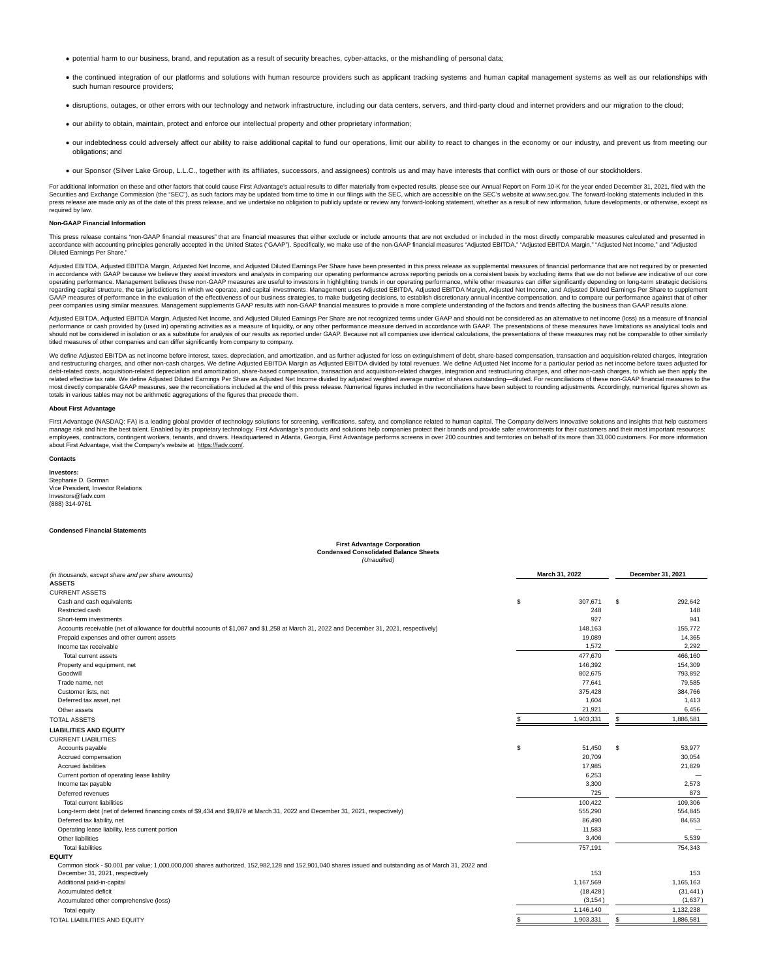- potential harm to our business, brand, and reputation as a result of security breaches, cyber-attacks, or the mishandling of personal data;
- the continued integration of our platforms and solutions with human resource providers such as applicant tracking systems and human capital management systems as well as our relationships with such human resource providers;
- disruptions, outages, or other errors with our technology and network infrastructure, including our data centers, servers, and third-party cloud and internet providers and our migration to the cloud;
- our ability to obtain, maintain, protect and enforce our intellectual property and other proprietary information;
- . our indebtedness could adversely affect our ability to raise additional capital to fund our operations, limit our ability to react to changes in the economy or our industry, and prevent us from meeting our obligations; and
- our Sponsor (Silver Lake Group, L.L.C., together with its affiliates, successors, and assignees) controls us and may have interests that conflict with ours or those of our stockholders.

For additional information on these and other factors that could cause First Advantage's actual results to differ materially from expected results, please see our Annual Report on Form 10-K for the year ended December 31, recommended and manufacture with the case of the contract of the contract of the contract of the contract of the contract of the contract of the contract of the contract of the contract of the contract of the contract of t required by law.

#### **Non-GAAP Financial Information**

This press release contains "pon-GAAP financial measures" that are financial measures that either exclude or include amounts that are not excluded or included in the most directly comparable measures calculated and present accordance with accounting principles generally accepted in the United States ("GAAP"). Specifically, we make use of the non-GAAP financial measures "Adjusted EBITDA," "Adjusted EBITDA Margin," "Adjusted Net Income," and " Diluted Earnings Per Share."

Adjusted EBITDA, Adjusted EBITDA Margin, Adjusted Net Income, and Adjusted Diluted Earnings Per Share have been presented in this press release as supplemental measures of financial performance that are not required by or regarding capital structure, the tax jurisdictions in which we operate, and capital investments. Management uses Adjusted EBITDA, Adjusted EBITDA Margin, Adjusted Net Income, and Adjusted Diluted Earnings Per Share to supp peer companies using similar measures. Management supplements GAAP results with non-GAAP financial measures to provide a more complete understanding of the factors and trends affecting the business than GAAP results alone.

Adjusted EBITDA, Adjusted EBITDA Margin, Adjusted Net Income, and Adjusted Diluted Earnings Per Share are not recognized terms under GAAP and should not be considered as an alternative to net income (loss) as a measure of performance or cash provided by (used in) operating activities as a measure of liquidity, or any other performance measure derived in accordance with GAAP. The presentations of these measures have limitations as analytical titled measures of other companies and can differ significantly from company to company.

We define Adjusted EBITDA as net income before interest, taxes, depreciation, and amortization, and as further adjusted for loss on extinguishment of debt, share-based compensation, transaction and acquisition-related char and restructuring charges, and other non-cash charges. We define Adjusted EBITDA Margin as Adjusted EBITDA divided by total revenues. We define Adjusted Net Income for a particular period as net income before taxes adjust most directly comparable GAAP measures, see the reconciliations included at the end of this press release. Numerical figures included in the reconciliations included in the reconciliations have been subject to rounding adj totals in various tables may not be arithmetic aggregations of the figures that precede them.

#### **About First Advantage**

First Advantage (NASDAQ: FA) is a leading global provider of technology solutions for screening, verifications, safety, and compliance related to human capital. The Company delivers innovative solutions and insights that h about First Advantage, visit the Company's website at https://fadv.com/.

#### **Contacts**

**Investors:** Stephanie D. Gorman Vice President, Investor Relations Investors@fadv.com (888) 314-9761

#### **Condensed Financial Statements**

#### **First Advantage Corporation Condensed Consolidated Balance Sheets** (Unaudited)

| (in thousands, except share and per share amounts)                                                                                                                                       |     | March 31, 2022         |          | December 31, 2021      |
|------------------------------------------------------------------------------------------------------------------------------------------------------------------------------------------|-----|------------------------|----------|------------------------|
| <b>ASSETS</b>                                                                                                                                                                            |     |                        |          |                        |
| <b>CURRENT ASSETS</b>                                                                                                                                                                    |     |                        |          |                        |
| Cash and cash equivalents                                                                                                                                                                | \$  | 307,671                | <b>S</b> | 292,642                |
| Restricted cash                                                                                                                                                                          |     | 248                    |          | 148                    |
| Short-term investments                                                                                                                                                                   |     | 927                    |          | 941                    |
| Accounts receivable (net of allowance for doubtful accounts of \$1,087 and \$1,258 at March 31, 2022 and December 31, 2021, respectively)                                                |     | 148,163                |          | 155,772                |
| Prepaid expenses and other current assets                                                                                                                                                |     | 19,089                 |          | 14,365                 |
| Income tax receivable                                                                                                                                                                    |     | 1,572                  |          | 2,292                  |
| Total current assets                                                                                                                                                                     |     | 477,670                |          | 466,160                |
| Property and equipment, net                                                                                                                                                              |     | 146,392                |          | 154,309                |
| Goodwill                                                                                                                                                                                 |     | 802,675                |          | 793,892                |
| Trade name, net                                                                                                                                                                          |     | 77,641                 |          | 79,585                 |
| Customer lists, net                                                                                                                                                                      |     | 375,428                |          | 384,766                |
| Deferred tax asset, net                                                                                                                                                                  |     | 1,604                  |          | 1,413                  |
| Other assets                                                                                                                                                                             |     | 21,921                 |          | 6.456                  |
| <b>TOTAL ASSETS</b>                                                                                                                                                                      | \$. | 1,903,331              | \$       | 1,886,581              |
| <b>LIABILITIES AND EQUITY</b>                                                                                                                                                            |     |                        |          |                        |
| <b>CURRENT LIABILITIES</b>                                                                                                                                                               |     |                        |          |                        |
| Accounts payable                                                                                                                                                                         | \$  | 51,450                 | \$       | 53,977                 |
| Accrued compensation                                                                                                                                                                     |     | 20,709                 |          | 30,054                 |
| <b>Accrued liabilities</b>                                                                                                                                                               |     | 17,985                 |          | 21,829                 |
| Current portion of operating lease liability                                                                                                                                             |     | 6,253                  |          |                        |
| Income tax payable                                                                                                                                                                       |     | 3,300                  |          | 2,573                  |
| Deferred revenues                                                                                                                                                                        |     | 725                    |          | 873                    |
| Total current liabilities                                                                                                                                                                |     | 100,422                |          | 109,306                |
| Long-term debt (net of deferred financing costs of \$9,434 and \$9,879 at March 31, 2022 and December 31, 2021, respectively)                                                            |     | 555,290                |          | 554,845                |
| Deferred tax liability, net                                                                                                                                                              |     | 86.490                 |          | 84,653                 |
| Operating lease liability, less current portion                                                                                                                                          |     | 11,583                 |          |                        |
| Other liabilities                                                                                                                                                                        |     | 3,406                  |          | 5,539                  |
| <b>Total liabilities</b>                                                                                                                                                                 |     | 757,191                |          | 754,343                |
| <b>EQUITY</b>                                                                                                                                                                            |     |                        |          |                        |
| Common stock - \$0.001 par value; 1,000,000,000 shares authorized, 152,982,128 and 152,901,040 shares issued and outstanding as of March 31, 2022 and<br>December 31, 2021, respectively |     | 153                    |          | 153                    |
|                                                                                                                                                                                          |     |                        |          |                        |
| Additional paid-in-capital<br>Accumulated deficit                                                                                                                                        |     | 1,167,569<br>(18, 428) |          | 1,165,163<br>(31, 441) |
|                                                                                                                                                                                          |     | (3, 154)               |          | (1,637)                |
| Accumulated other comprehensive (loss)                                                                                                                                                   |     |                        |          |                        |
| Total equity                                                                                                                                                                             |     | 1,146,140              |          | 1,132,238              |
| TOTAL LIABILITIES AND EQUITY                                                                                                                                                             |     | 1,903,331              | S        | 1,886,581              |
|                                                                                                                                                                                          |     |                        |          |                        |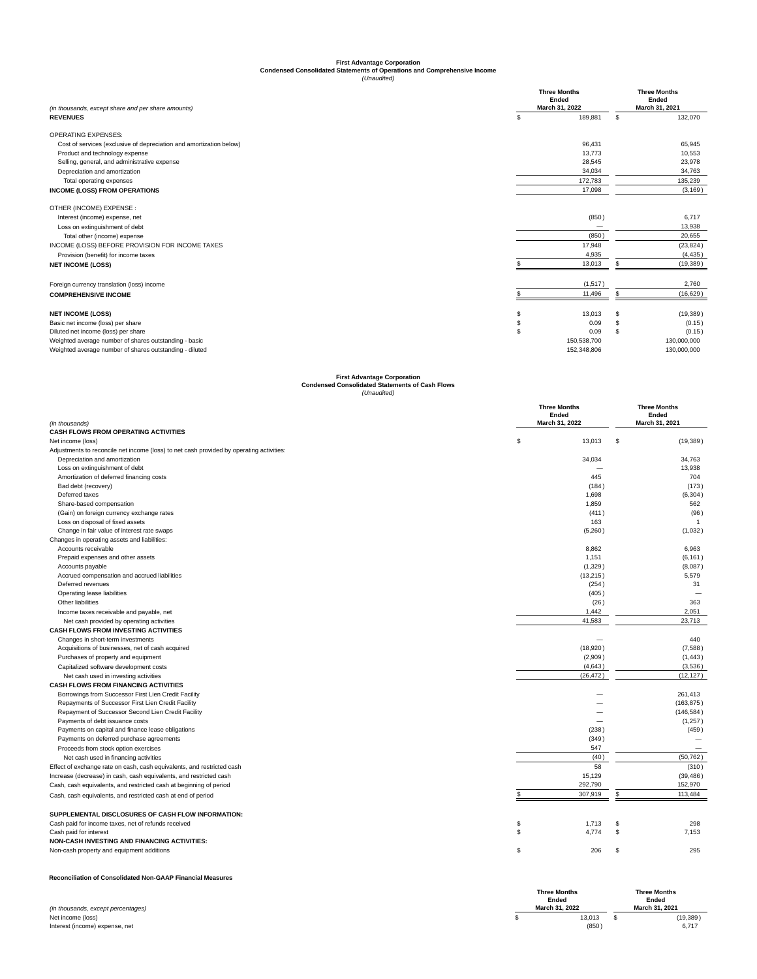**First Advantage Corporation Condensed Consolidated Statements of Operations and Comprehensive Income** (Unaudited)

(in thousands, except share and per share amounts) **Three Months Ended March 31, 2022 Three Months Ended March 31, 2021 REVENUES** \$ 189,881 \$ 132,070 OPERATING EXPENSES: Cost of services (exclusive of depreciation and amortization below) 65,945<br>
Product and technology expense the product and amortization below) 65,945<br>
Product and technology expense the product and technology expense to th Product and technology expense Selling, general, and administrative expense 23,978 23,978<br>
29,545 23,978 23,978 23,978 23,978 23,978 23,978 23,978 23,978 23,978 23,000 2011 Depreciation and amortization 34,034 34,763 Total operating expenses the second operating expenses the second operating expenses the second operating expenses the second operations of the second operations of the second operations of the second operations of the sec OTHER (INCOME) EXPENSE : Interest (income) expense, net (850 ) 6,717 Loss on extinguishment of debt **13,938**<br>
Total other (income) expense **13,938** Production and the control of the control of the control of the control of the control of the control of the control of the control of the cont Total other (income) expense (850 ) 20,655 INCOME (LOSS) BEFORE PROVISION FOR INCOME TAXES 17,948 (23,824 ) Provision (benefit) for income taxes (4,435 )<br>NET INCOME (LOSS) (4,435 ) (4,435 ) (4,435 ) (4,435 ) (4,435 ) **NET INCOME (LOSS)** \$ 13,013 \$ (19,389 ) Foreign currency translation (loss) income 2,760<br> **COMPREHENSIVE INCOME** (16,629) **COMPREHENSIVE INCOME S NET INCOME (LOSS)** \$ 13,013 \$ (19,389 ) Basic net income (loss) per share (loss) per share (0.15) (0.15 ) (0.15 ) (0.15 ) (0.15 ) (0.15 ) (0.15 ) (0.15<br>Diluted net income (loss) per share (0.09 \$ (0.15 ) (0.15 ) (0.15 ) (0.15 ) (0.15 ) (0.15 ) (0.15 ) (0.15 ) (0 Diluted net income (loss) per share (loss) per share (0.15 (0.15 )<br>Weighted average number of shares outstanding - basic **the energy of the control of the control of the control of the control of the control of the control** Weighted average number of shares outstanding - basic and the state of shares outstanding - basic and the state of shares outstanding - basic 150,000,000 150,000,000 130,000,000 150,000,000 150,000,000 150,000,000 150,000, Weighted average number of shares outstanding - diluted

## **First Advantage Corporation**<br>Condensed Consolidated Statements of Cash Flows<br>(Unaudited)

|                                                                                          | <b>Three Months</b><br>Ended<br>March 31, 2022 |                          |    | <b>Three Months</b><br>Ended<br>March 31, 2021 |  |
|------------------------------------------------------------------------------------------|------------------------------------------------|--------------------------|----|------------------------------------------------|--|
| (in thousands)<br>CASH FLOWS FROM OPERATING ACTIVITIES                                   |                                                |                          |    |                                                |  |
| Net income (loss)                                                                        | \$                                             | 13,013                   | S  | (19, 389)                                      |  |
| Adjustments to reconcile net income (loss) to net cash provided by operating activities: |                                                |                          |    |                                                |  |
| Depreciation and amortization                                                            |                                                | 34,034                   |    | 34,763                                         |  |
| Loss on extinguishment of debt                                                           |                                                |                          |    | 13,938                                         |  |
| Amortization of deferred financing costs                                                 |                                                | 445                      |    | 704                                            |  |
| Bad debt (recovery)                                                                      |                                                | (184)                    |    | (173)                                          |  |
| Deferred taxes                                                                           |                                                | 1,698                    |    | (6, 304)                                       |  |
| Share-based compensation                                                                 |                                                | 1,859                    |    | 562                                            |  |
| (Gain) on foreign currency exchange rates                                                |                                                | (411)                    |    | (96)                                           |  |
| Loss on disposal of fixed assets                                                         |                                                | 163                      |    | $\overline{1}$                                 |  |
| Change in fair value of interest rate swaps                                              |                                                | (5,260)                  |    | (1,032)                                        |  |
| Changes in operating assets and liabilities:                                             |                                                |                          |    |                                                |  |
| Accounts receivable                                                                      |                                                | 8,862                    |    | 6,963                                          |  |
| Prepaid expenses and other assets                                                        |                                                | 1,151                    |    | (6, 161)                                       |  |
| Accounts payable                                                                         |                                                | (1, 329)                 |    | (8,087)                                        |  |
| Accrued compensation and accrued liabilities                                             |                                                | (13,215)                 |    | 5,579                                          |  |
| Deferred revenues                                                                        |                                                | (254)                    |    | 31                                             |  |
| Operating lease liabilities                                                              |                                                | (405)                    |    |                                                |  |
| Other liabilities                                                                        |                                                | (26)                     |    | 363                                            |  |
|                                                                                          |                                                | 1,442                    |    | 2,051                                          |  |
| Income taxes receivable and payable, net                                                 |                                                |                          |    |                                                |  |
| Net cash provided by operating activities                                                |                                                | 41,583                   |    | 23,713                                         |  |
| <b>CASH FLOWS FROM INVESTING ACTIVITIES</b>                                              |                                                |                          |    |                                                |  |
| Changes in short-term investments                                                        |                                                |                          |    | 440                                            |  |
| Acquisitions of businesses, net of cash acquired                                         |                                                | (18,920)                 |    | (7,588)                                        |  |
| Purchases of property and equipment                                                      |                                                | (2,909)                  |    | (1, 443)                                       |  |
| Capitalized software development costs                                                   |                                                | (4,643)                  |    | (3,536)                                        |  |
| Net cash used in investing activities                                                    |                                                | (26, 472)                |    | (12, 127)                                      |  |
| <b>CASH FLOWS FROM FINANCING ACTIVITIES</b>                                              |                                                |                          |    |                                                |  |
| Borrowings from Successor First Lien Credit Facility                                     |                                                |                          |    | 261,413                                        |  |
| Repayments of Successor First Lien Credit Facility                                       |                                                |                          |    | (163, 875)                                     |  |
| Repayment of Successor Second Lien Credit Facility                                       |                                                |                          |    | (146, 584)                                     |  |
| Payments of debt issuance costs                                                          |                                                | $\overline{\phantom{0}}$ |    | (1,257)                                        |  |
| Payments on capital and finance lease obligations                                        |                                                | (238)                    |    | (459)                                          |  |
| Payments on deferred purchase agreements                                                 |                                                | (349)                    |    | $\overline{\phantom{0}}$                       |  |
| Proceeds from stock option exercises                                                     |                                                | 547                      |    | $\overline{\phantom{0}}$                       |  |
| Net cash used in financing activities                                                    |                                                | (40)                     |    | (50, 762)                                      |  |
| Effect of exchange rate on cash, cash equivalents, and restricted cash                   |                                                | 58                       |    | (310)                                          |  |
| Increase (decrease) in cash, cash equivalents, and restricted cash                       |                                                | 15,129                   |    | (39, 486)                                      |  |
| Cash, cash equivalents, and restricted cash at beginning of period                       |                                                | 292,790                  |    | 152,970                                        |  |
| Cash, cash equivalents, and restricted cash at end of period                             | S.                                             | 307,919                  | \$ | 113,484                                        |  |
| SUPPLEMENTAL DISCLOSURES OF CASH FLOW INFORMATION:                                       |                                                |                          |    |                                                |  |
| Cash paid for income taxes, net of refunds received                                      | \$                                             | 1,713                    | \$ | 298                                            |  |
| Cash paid for interest                                                                   | \$                                             | 4.774                    | \$ | 7,153                                          |  |
| NON-CASH INVESTING AND FINANCING ACTIVITIES:                                             |                                                |                          |    |                                                |  |
| Non-cash property and equipment additions                                                | S                                              | 206                      | S  | 295                                            |  |
|                                                                                          |                                                |                          |    |                                                |  |

#### (in thousands, except percentages)<br>Net income (loss) **Three Months Ended March 31, 2022 Three Months Ended March 31, 2021** (19,389) Net income (loss) \$ 13,013 \$ (19,389 ) Interest (income) expense, net (850 ) 6,717

**Reconciliation of Consolidated Non-GAAP Financial Measures**